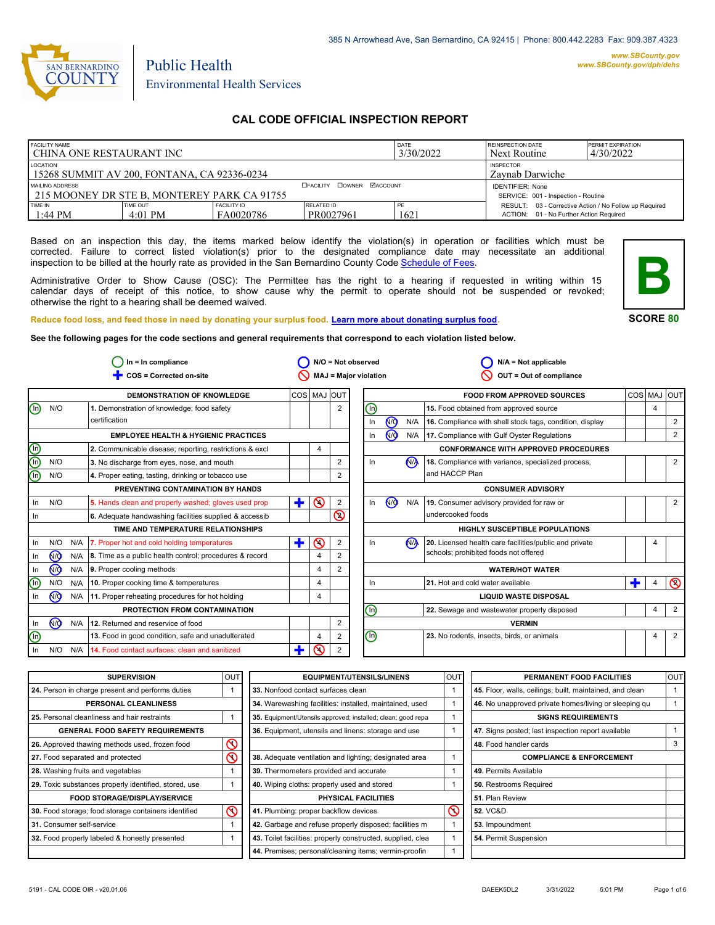

# Public Health Environmental Health Services

# **CAL CODE OFFICIAL INSPECTION REPORT**

| <b>FACILITY NAME</b><br>CHINA ONE RESTAURANT INC                                                               |                       | <b>DATE</b><br>3/30/2022            | <b>REINSPECTION DATE</b><br>Next Routine | <b>PERMIT EXPIRATION</b><br>4/30/2022 |                                                                                                   |  |
|----------------------------------------------------------------------------------------------------------------|-----------------------|-------------------------------------|------------------------------------------|---------------------------------------|---------------------------------------------------------------------------------------------------|--|
| LOCATION<br>15268 SUMMIT AV 200, FONTANA, CA 92336-0234                                                        |                       | <b>INSPECTOR</b><br>Zavnab Darwiche |                                          |                                       |                                                                                                   |  |
| <b>DOWNER MACCOUNT</b><br>MAILING ADDRESS<br><b>OFACILITY</b><br>1 215 MOONEY DR STE B. MONTEREY PARK CA 91755 |                       |                                     |                                          |                                       | <b>IDENTIFIER: None</b><br>SERVICE: 001 - Inspection - Routine                                    |  |
| TIME IN<br>$1:44 \text{ PM}$                                                                                   | TIME OUT<br>$4:01$ PM | <b>FACILITY ID</b><br>FA0020786     | RELATED ID<br>PR0027961                  | 1621                                  | RESULT: 03 - Corrective Action / No Follow up Required<br>ACTION: 01 - No Further Action Required |  |

Based on an inspection this day, the items marked below identify the violation(s) in operation or facilities which must be corrected. Failure to correct listed violation(s) prior to the designated compliance date may necessitate an additional inspection to be billed at the hourly rate as provided in the San Bernardino County Co[de Schedule of Fees.](https://codelibrary.amlegal.com/codes/sanbernardino/latest/sanberncty_ca/0-0-0-122474#JD_16.0213B)

Administrative Order to Show Cause (OSC): The Permittee has the right to a hearing if requested in writing within 15 calendar days of receipt of this notice, to show cause why the permit to operate should not be suspended or revoked; otherwise the right to a hearing shall be deemed waived.



**SCORE 80**

**Reduce food loss, and feed those in need by donating your surplus f[ood. Learn more about donating surplus food.](https://wp.sbcounty.gov/dph/programs/ehs/charitable-food-service/) See the following pages for the code sections and general requirements that correspond to each violation listed below.**

|                |                |     | $ln = ln$ compliance                                          |             |         |                | $N/O = Not observed$           |                |                      | $N/A = Not applicable$                                   |            |                |                |
|----------------|----------------|-----|---------------------------------------------------------------|-------------|---------|----------------|--------------------------------|----------------|----------------------|----------------------------------------------------------|------------|----------------|----------------|
|                |                |     | COS = Corrected on-site                                       |             |         |                | MAJ = Major violation          |                |                      | OUT = Out of compliance                                  |            |                |                |
|                |                |     | DEMONSTRATION OF KNOWLEDGE                                    | COS MAJ OUT |         |                |                                |                |                      | <b>FOOD FROM APPROVED SOURCES</b>                        | <b>COS</b> | <b>MAJ</b>     | loutl          |
| $\circledcirc$ | N/O            |     | 1. Demonstration of knowledge; food safety                    |             |         | 2              | $\textcircled{\scriptsize{1}}$ |                |                      | 15. Food obtained from approved source                   |            | $\overline{4}$ |                |
|                |                |     | certification                                                 |             |         |                | In                             | 7              | N/A                  | 16. Compliance with shell stock tags, condition, display |            |                | 2              |
|                |                |     | <b>EMPLOYEE HEALTH &amp; HYGIENIC PRACTICES</b>               |             |         |                | In                             | <b>MO</b>      | N/A                  | 17. Compliance with Gulf Oyster Regulations              |            |                | 2              |
|                |                |     | 2. Communicable disease; reporting, restrictions & excl       |             | 4       |                |                                |                |                      | <b>CONFORMANCE WITH APPROVED PROCEDURES</b>              |            |                |                |
| oc<br>O        | N/O            |     | 3. No discharge from eyes, nose, and mouth                    |             |         | 2              | In                             |                | <b>N<sub>A</sub></b> | 18. Compliance with variance, specialized process,       |            |                | 2              |
| Ō              | N/O            |     | 4. Proper eating, tasting, drinking or tobacco use            |             |         | 2              |                                |                |                      | and HACCP Plan                                           |            |                |                |
|                |                |     | PREVENTING CONTAMINATION BY HANDS                             |             |         |                |                                |                |                      | <b>CONSUMER ADVISORY</b>                                 |            |                |                |
| In.            | N/O            |     | 5. Hands clean and properly washed; gloves used prop          | ٠           | $\odot$ | $\overline{2}$ | In                             | N <sub>O</sub> | N/A                  | 19. Consumer advisory provided for raw or                |            |                | 2              |
| In.            |                |     | 6. Adequate handwashing facilities supplied & accessib        |             |         | Q              |                                |                |                      | undercooked foods                                        |            |                |                |
|                |                |     | TIME AND TEMPERATURE RELATIONSHIPS                            |             |         |                |                                |                |                      | HIGHLY SUSCEPTIBLE POPULATIONS                           |            |                |                |
| In             | N/O            | N/A | 7. Proper hot and cold holding temperatures                   | Ŧ           | の       | 2              | In                             |                | N <sub>A</sub>       | 20. Licensed health care facilities/public and private   |            | $\overline{4}$ |                |
| In.            | 7              |     | N/A   8. Time as a public health control; procedures & record |             | 4       |                |                                |                |                      | schools; prohibited foods not offered                    |            |                |                |
| In.            | @              | N/A | 9. Proper cooling methods                                     |             | 4       | 2              |                                |                |                      | <b>WATER/HOT WATER</b>                                   |            |                |                |
| ⋒              | N/O            | N/A | 10. Proper cooking time & temperatures                        |             | 4       |                | In                             |                |                      | 21. Hot and cold water available                         |            | 4              | $\circledcirc$ |
| In.            | N <sub>O</sub> | N/A | 11. Proper reheating procedures for hot holding               |             | 4       |                |                                |                |                      | <b>LIQUID WASTE DISPOSAL</b>                             |            |                |                |
|                |                |     | PROTECTION FROM CONTAMINATION                                 |             |         |                | $\odot$                        |                |                      | 22. Sewage and wastewater properly disposed              |            | $\overline{4}$ | 2              |
| In             | <b>MO</b>      | N/A | 12. Returned and reservice of food                            |             |         | 2              |                                |                |                      | <b>VERMIN</b>                                            |            |                |                |
| $\circledcirc$ |                |     | 13. Food in good condition, safe and unadulterated            |             | 4       | 2              | $\textcircled{\scriptsize{1}}$ |                |                      | 23. No rodents, insects, birds, or animals               |            | $\overline{4}$ | 2              |
| In.            | N/O            | N/A | 14. Food contact surfaces: clean and sanitized                |             | ⋒       | $\overline{2}$ |                                |                |                      |                                                          |            |                |                |

| <b>SUPERVISION</b>                                    | <b>OUT</b> | <b>EQUIPMENT/UTENSILS/LINENS</b>                             | <b>OUT</b> | PERMANENT FOOD FACILITIES                                | <b>OUT</b> |
|-------------------------------------------------------|------------|--------------------------------------------------------------|------------|----------------------------------------------------------|------------|
| 24. Person in charge present and performs duties      |            | 33. Nonfood contact surfaces clean                           |            | 45. Floor, walls, ceilings: built, maintained, and clean |            |
| PERSONAL CLEANLINESS                                  |            | 34. Warewashing facilities: installed, maintained, used      |            | 46. No unapproved private homes/living or sleeping qu    |            |
| 25. Personal cleanliness and hair restraints          |            | 35. Equipment/Utensils approved; installed; clean; good repa |            | <b>SIGNS REQUIREMENTS</b>                                |            |
| <b>GENERAL FOOD SAFETY REQUIREMENTS</b>               |            | 36. Equipment, utensils and linens: storage and use          |            | 47. Signs posted; last inspection report available       |            |
| 26. Approved thawing methods used, frozen food        | $\infty$   |                                                              |            | 48. Food handler cards                                   | 3          |
| 27. Food separated and protected                      | $\infty$   | 38. Adequate ventilation and lighting; designated area       |            | <b>COMPLIANCE &amp; ENFORCEMENT</b>                      |            |
| 28. Washing fruits and vegetables                     |            | 39. Thermometers provided and accurate                       |            | 49. Permits Available                                    |            |
| 29. Toxic substances properly identified, stored, use |            | 40. Wiping cloths: properly used and stored                  |            | 50. Restrooms Required                                   |            |
| <b>FOOD STORAGE/DISPLAY/SERVICE</b>                   |            | PHYSICAL FACILITIES                                          |            | 51. Plan Review                                          |            |
| 30. Food storage; food storage containers identified  | $\infty$   | 41. Plumbing: proper backflow devices                        | $\infty$   | <b>52. VC&amp;D</b>                                      |            |
| 31. Consumer self-service                             |            | 42. Garbage and refuse properly disposed; facilities m       |            | 53. Impoundment                                          |            |
| 32. Food properly labeled & honestly presented        |            | 43. Toilet facilities: properly constructed, supplied, clea  |            | 54. Permit Suspension                                    |            |
|                                                       |            | 44. Premises; personal/cleaning items; vermin-proofin        |            |                                                          |            |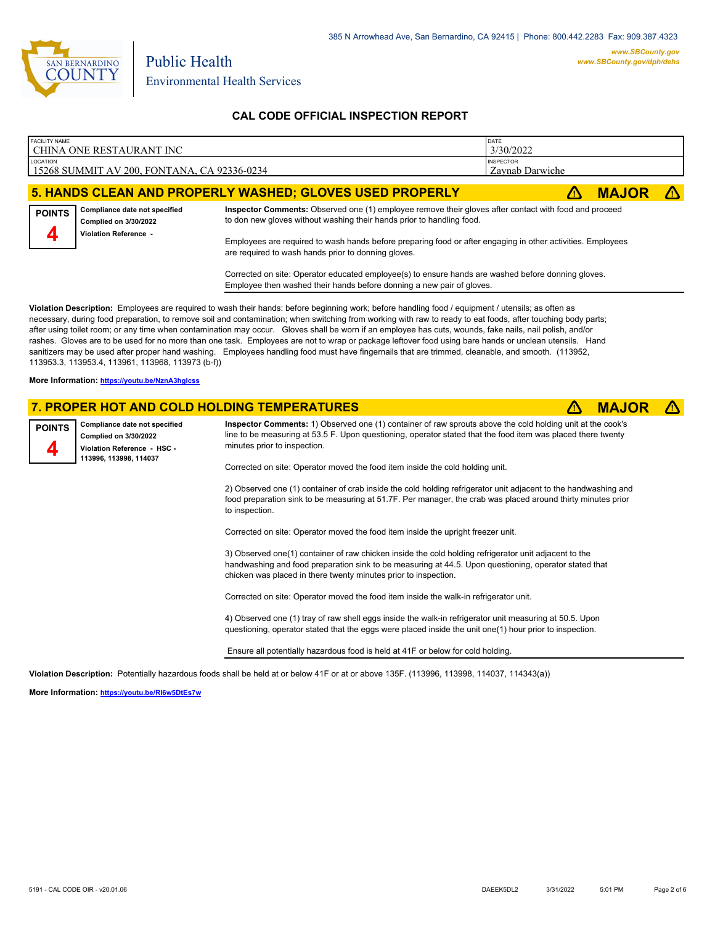

| <b>FACILITY NAME</b>                                                                                                                                                                                                                                                                                                                              | CHINA ONE RESTAURANT INC                                                                                        |                                                                                                                                                                                                                                                                                                                                                                                                                                                                                                                                                                                                                                                                                                                                                                                               | DATE<br>3/30/2022                   |              |  |
|---------------------------------------------------------------------------------------------------------------------------------------------------------------------------------------------------------------------------------------------------------------------------------------------------------------------------------------------------|-----------------------------------------------------------------------------------------------------------------|-----------------------------------------------------------------------------------------------------------------------------------------------------------------------------------------------------------------------------------------------------------------------------------------------------------------------------------------------------------------------------------------------------------------------------------------------------------------------------------------------------------------------------------------------------------------------------------------------------------------------------------------------------------------------------------------------------------------------------------------------------------------------------------------------|-------------------------------------|--------------|--|
| LOCATION                                                                                                                                                                                                                                                                                                                                          | 15268 SUMMIT AV 200, FONTANA, CA 92336-0234                                                                     |                                                                                                                                                                                                                                                                                                                                                                                                                                                                                                                                                                                                                                                                                                                                                                                               | <b>INSPECTOR</b><br>Zaynab Darwiche |              |  |
|                                                                                                                                                                                                                                                                                                                                                   |                                                                                                                 | <b>5. HANDS CLEAN AND PROPERLY WASHED; GLOVES USED PROPERLY</b>                                                                                                                                                                                                                                                                                                                                                                                                                                                                                                                                                                                                                                                                                                                               | Z۱                                  | <b>MAJOR</b> |  |
| <b>POINTS</b>                                                                                                                                                                                                                                                                                                                                     | Compliance date not specified<br><b>Complied on 3/30/2022</b><br>Violation Reference -                          | Inspector Comments: Observed one (1) employee remove their gloves after contact with food and proceed<br>to don new gloves without washing their hands prior to handling food.                                                                                                                                                                                                                                                                                                                                                                                                                                                                                                                                                                                                                |                                     |              |  |
| Employees are required to wash hands before preparing food or after engaging in other activities. Employees<br>are required to wash hands prior to donning gloves.<br>Corrected on site: Operator educated employee(s) to ensure hands are washed before donning gloves.<br>Employee then washed their hands before donning a new pair of gloves. |                                                                                                                 |                                                                                                                                                                                                                                                                                                                                                                                                                                                                                                                                                                                                                                                                                                                                                                                               |                                     |              |  |
|                                                                                                                                                                                                                                                                                                                                                   |                                                                                                                 |                                                                                                                                                                                                                                                                                                                                                                                                                                                                                                                                                                                                                                                                                                                                                                                               |                                     |              |  |
|                                                                                                                                                                                                                                                                                                                                                   | 113953.3, 113953.4, 113961, 113968, 113973 (b-f))                                                               | Violation Description: Employees are required to wash their hands: before beginning work; before handling food / equipment / utensils; as often as<br>necessary, during food preparation, to remove soil and contamination; when switching from working with raw to ready to eat foods, after touching body parts;<br>after using toilet room; or any time when contamination may occur. Gloves shall be worn if an employee has cuts, wounds, fake nails, nail polish, and/or<br>rashes. Gloves are to be used for no more than one task. Employees are not to wrap or package leftover food using bare hands or unclean utensils. Hand<br>sanitizers may be used after proper hand washing. Employees handling food must have fingernails that are trimmed, cleanable, and smooth. (113952, |                                     |              |  |
| More Information: https://youtu.be/NznA3hglcss                                                                                                                                                                                                                                                                                                    |                                                                                                                 |                                                                                                                                                                                                                                                                                                                                                                                                                                                                                                                                                                                                                                                                                                                                                                                               |                                     |              |  |
|                                                                                                                                                                                                                                                                                                                                                   |                                                                                                                 | 7. PROPER HOT AND COLD HOLDING TEMPERATURES                                                                                                                                                                                                                                                                                                                                                                                                                                                                                                                                                                                                                                                                                                                                                   | Z١                                  | <b>MAJOR</b> |  |
| <b>POINTS</b>                                                                                                                                                                                                                                                                                                                                     | Compliance date not specified<br>Complied on 3/30/2022<br>Violation Reference - HSC -<br>113996, 113998, 114037 | Inspector Comments: 1) Observed one (1) container of raw sprouts above the cold holding unit at the cook's<br>line to be measuring at 53.5 F. Upon questioning, operator stated that the food item was placed there twenty<br>minutes prior to inspection.                                                                                                                                                                                                                                                                                                                                                                                                                                                                                                                                    |                                     |              |  |

Corrected on site: Operator moved the food item inside the cold holding unit.

2) Observed one (1) container of crab inside the cold holding refrigerator unit adjacent to the handwashing and food preparation sink to be measuring at 51.7F. Per manager, the crab was placed around thirty minutes prior to inspection.

Corrected on site: Operator moved the food item inside the upright freezer unit.

3) Observed one(1) container of raw chicken inside the cold holding refrigerator unit adjacent to the handwashing and food preparation sink to be measuring at 44.5. Upon questioning, operator stated that chicken was placed in there twenty minutes prior to inspection.

Corrected on site: Operator moved the food item inside the walk-in refrigerator unit.

4) Observed one (1) tray of raw shell eggs inside the walk-in refrigerator unit measuring at 50.5. Upon questioning, operator stated that the eggs were placed inside the unit one(1) hour prior to inspection.

Ensure all potentially hazardous food is held at 41F or below for cold holding.

**Violation Description:** Potentially hazardous foods shall be held at or below 41F or at or above 135F. (113996, 113998, 114037, 114343(a))

**More Information: <https://youtu.be/RI6w5DtEs7w>**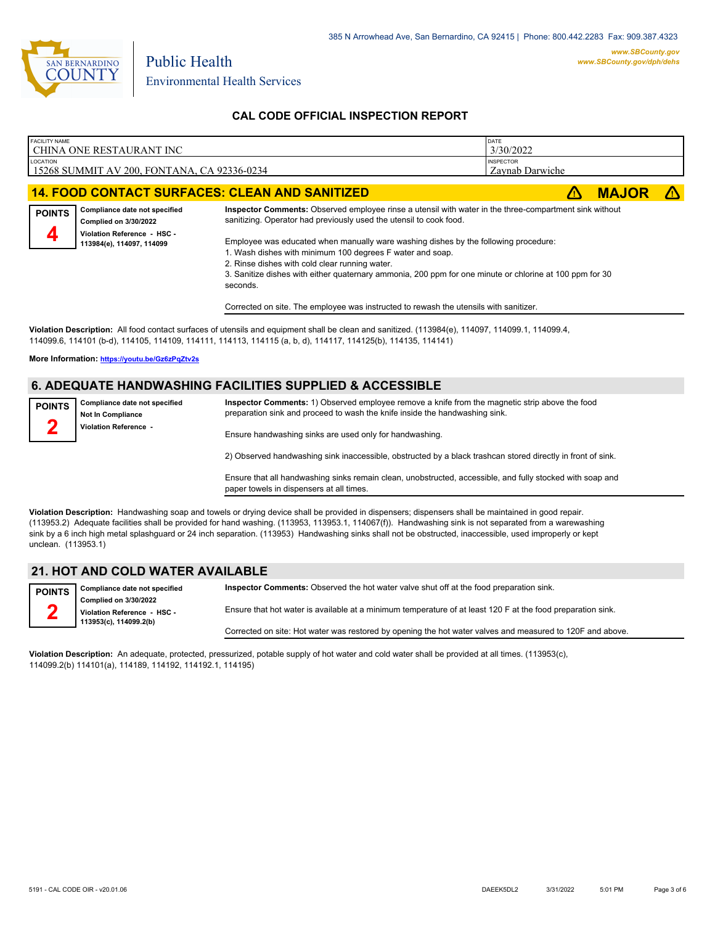

| FACILITY NAME      | l CHINA ONE RESTAURANT INC                                                                                         |                                                                                                                                                                                                                                                                                                                                                                                                                                                                                                                                                                                                    | DATE<br>3/30/2022                   |              |    |
|--------------------|--------------------------------------------------------------------------------------------------------------------|----------------------------------------------------------------------------------------------------------------------------------------------------------------------------------------------------------------------------------------------------------------------------------------------------------------------------------------------------------------------------------------------------------------------------------------------------------------------------------------------------------------------------------------------------------------------------------------------------|-------------------------------------|--------------|----|
| LOCATION           | 15268 SUMMIT AV 200, FONTANA, CA 92336-0234                                                                        |                                                                                                                                                                                                                                                                                                                                                                                                                                                                                                                                                                                                    | <b>INSPECTOR</b><br>Zavnab Darwiche |              |    |
|                    |                                                                                                                    | <b>14. FOOD CONTACT SURFACES: CLEAN AND SANITIZED</b>                                                                                                                                                                                                                                                                                                                                                                                                                                                                                                                                              |                                     | <b>MAJOR</b> | ΔN |
| <b>POINTS</b><br>4 | Compliance date not specified<br>Complied on 3/30/2022<br>Violation Reference - HSC -<br>113984(e), 114097, 114099 | Inspector Comments: Observed employee rinse a utensil with water in the three-compartment sink without<br>sanitizing. Operator had previously used the utensil to cook food.<br>Employee was educated when manually ware washing dishes by the following procedure:<br>1. Wash dishes with minimum 100 degrees F water and soap.<br>2. Rinse dishes with cold clear running water.<br>3. Sanitize dishes with either quaternary ammonia, 200 ppm for one minute or chlorine at 100 ppm for 30<br>seconds.<br>Corrected on site. The employee was instructed to rewash the utensils with sanitizer. |                                     |              |    |

**Violation Description:** All food contact surfaces of utensils and equipment shall be clean and sanitized. (113984(e), 114097, 114099.1, 114099.4, 114099.6, 114101 (b-d), 114105, 114109, 114111, 114113, 114115 (a, b, d), 114117, 114125(b), 114135, 114141)

**More Information: <https://youtu.be/Gz6zPqZtv2s>**

# **6. ADEQUATE HANDWASHING FACILITIES SUPPLIED & ACCESSIBLE**

| <b>POINTS</b><br>∽                                                               | Compliance date not specified<br>Not In Compliance | Inspector Comments: 1) Observed employee remove a knife from the magnetic strip above the food<br>preparation sink and proceed to wash the knife inside the handwashing sink. |
|----------------------------------------------------------------------------------|----------------------------------------------------|-------------------------------------------------------------------------------------------------------------------------------------------------------------------------------|
| Violation Reference -<br>Ensure handwashing sinks are used only for handwashing. |                                                    |                                                                                                                                                                               |
|                                                                                  |                                                    | 2) Observed handwashing sink inaccessible, obstructed by a black trashcan stored directly in front of sink.                                                                   |

Ensure that all handwashing sinks remain clean, unobstructed, accessible, and fully stocked with soap and paper towels in dispensers at all times.

**Violation Description:** Handwashing soap and towels or drying device shall be provided in dispensers; dispensers shall be maintained in good repair. (113953.2) Adequate facilities shall be provided for hand washing. (113953, 113953.1, 114067(f)). Handwashing sink is not separated from a warewashing sink by a 6 inch high metal splashguard or 24 inch separation. (113953) Handwashing sinks shall not be obstructed, inaccessible, used improperly or kept unclean. (113953.1)

# **21. HOT AND COLD WATER AVAILABLE**

| POINTS Compliance date not specified                  | Inspector Comments: Observed the hot water valve shut off at the food preparation sink.                     |
|-------------------------------------------------------|-------------------------------------------------------------------------------------------------------------|
| <b>Complied on 3/30/2022</b>                          |                                                                                                             |
| Violation Reference - HSC -<br>113953(c), 114099.2(b) | Ensure that hot water is available at a minimum temperature of at least 120 F at the food preparation sink. |
|                                                       | Corrected on site: Hot water was restored by opening the hot water valves and measured to 120F and above.   |

**Violation Description:** An adequate, protected, pressurized, potable supply of hot water and cold water shall be provided at all times. (113953(c), 114099.2(b) 114101(a), 114189, 114192, 114192.1, 114195)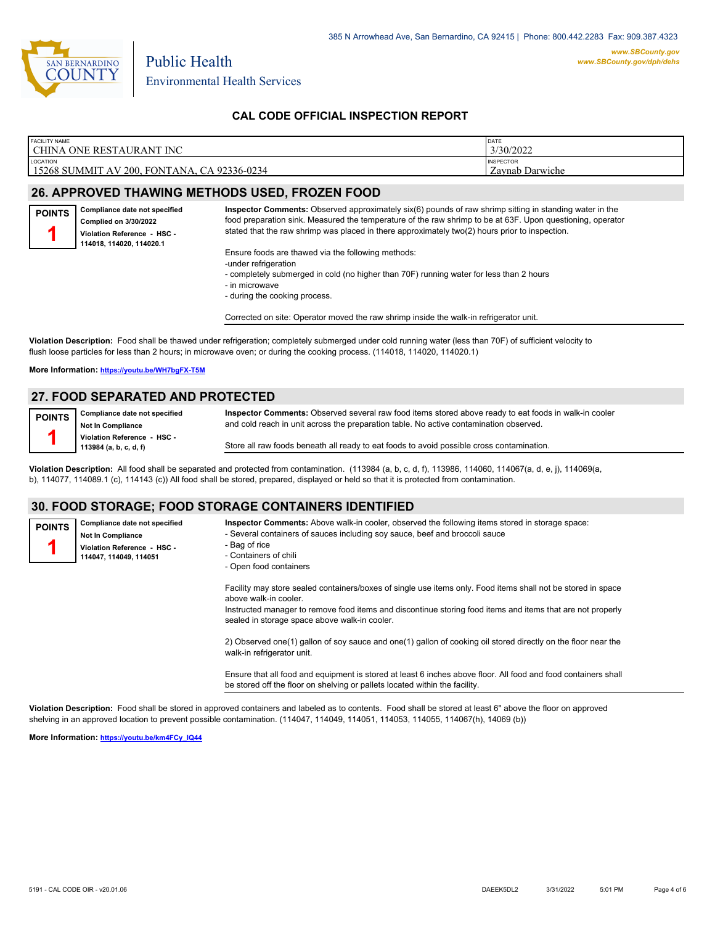

| <b>FACILITY NAME</b>                                             | DATE                                |
|------------------------------------------------------------------|-------------------------------------|
| CHINA ONE RESTAURANT INC                                         | 3/30/2022                           |
| <b>LOCATION</b><br>  15268 SUMMIT AV 200, FONTANA, CA 92336-0234 | <b>INSPECTOR</b><br>Zavnab Darwiche |
|                                                                  |                                     |

# **26. APPROVED THAWING METHODS USED, FROZEN FOOD**

**Compliance date not specified Complied on 3/30/2022 Violation Reference - HSC - 114018, 114020, 114020.1 POINTS 1**

**Inspector Comments:** Observed approximately six(6) pounds of raw shrimp sitting in standing water in the food preparation sink. Measured the temperature of the raw shrimp to be at 63F. Upon questioning, operator stated that the raw shrimp was placed in there approximately two(2) hours prior to inspection.

Ensure foods are thawed via the following methods:

- -under refrigeration
- completely submerged in cold (no higher than 70F) running water for less than 2 hours
- in microwave
- during the cooking process.

Corrected on site: Operator moved the raw shrimp inside the walk-in refrigerator unit.

**Violation Description:** Food shall be thawed under refrigeration; completely submerged under cold running water (less than 70F) of sufficient velocity to flush loose particles for less than 2 hours; in microwave oven; or during the cooking process. (114018, 114020, 114020.1)

#### **More Information: <https://youtu.be/WH7bgFX-T5M>**

**Compliance date not specified Not In Compliance Violation Reference - HSC - 114047, 114049, 114051**

### **27. FOOD SEPARATED AND PROTECTED**

**Compliance date not specified Not In Compliance Violation Reference - HSC - 113984 (a, b, c, d, f) POINTS 1**

**Inspector Comments:** Observed several raw food items stored above ready to eat foods in walk-in cooler and cold reach in unit across the preparation table. No active contamination observed.

Store all raw foods beneath all ready to eat foods to avoid possible cross contamination.

**Violation Description:** All food shall be separated and protected from contamination. (113984 (a, b, c, d, f), 113986, 114060, 114067(a, d, e, j), 114069(a, b), 114077, 114089.1 (c), 114143 (c)) All food shall be stored, prepared, displayed or held so that it is protected from contamination.

### **30. FOOD STORAGE; FOOD STORAGE CONTAINERS IDENTIFIED**

**POINTS 1**

**Inspector Comments:** Above walk-in cooler, observed the following items stored in storage space: - Several containers of sauces including soy sauce, beef and broccoli sauce

- Bag of rice
- Containers of chili
- Open food containers

Facility may store sealed containers/boxes of single use items only. Food items shall not be stored in space above walk-in cooler.

Instructed manager to remove food items and discontinue storing food items and items that are not properly sealed in storage space above walk-in cooler.

2) Observed one(1) gallon of soy sauce and one(1) gallon of cooking oil stored directly on the floor near the walk-in refrigerator unit.

Ensure that all food and equipment is stored at least 6 inches above floor. All food and food containers shall be stored off the floor on shelving or pallets located within the facility.

**Violation Description:** Food shall be stored in approved containers and labeled as to contents. Food shall be stored at least 6" above the floor on approved shelving in an approved location to prevent possible contamination. (114047, 114049, 114051, 114053, 114055, 114067(h), 14069 (b))

**More Information: [https://youtu.be/km4FCy\\_IQ44](https://youtu.be/km4FCy_IQ44)**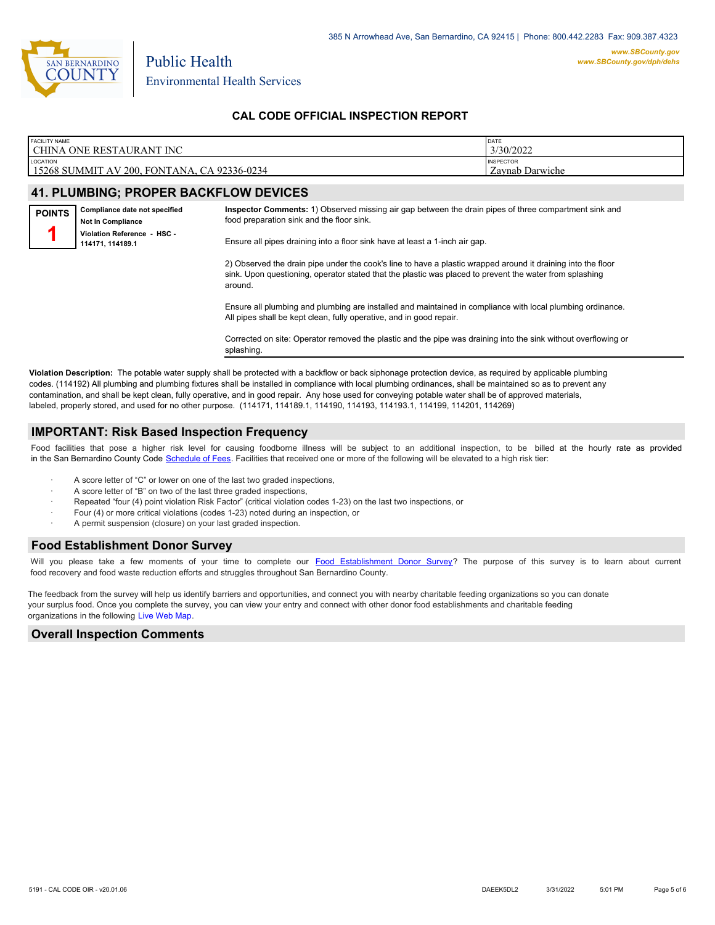

| <b>FACILITY NAME</b>                                         | DATE                                |
|--------------------------------------------------------------|-------------------------------------|
| CHINA ONE RESTAURANT INC                                     | 3/30/2022                           |
| LOCATION<br>15268 SUMMIT AV 200.<br>, FONTANA, CA 92336-0234 | <b>INSPECTOR</b><br>Zavnab Darwiche |

# **41. PLUMBING; PROPER BACKFLOW DEVICES**

| <b>POINTS</b> | Compliance date not specified<br><b>Not In Compliance</b> | Inspector Comments: 1) Observed missing air gap between the drain pipes of three compartment sink and<br>food preparation sink and the floor sink.                                                                                 |
|---------------|-----------------------------------------------------------|------------------------------------------------------------------------------------------------------------------------------------------------------------------------------------------------------------------------------------|
|               | Violation Reference - HSC -<br>114171, 114189.1           | Ensure all pipes draining into a floor sink have at least a 1-inch air gap.                                                                                                                                                        |
|               |                                                           | 2) Observed the drain pipe under the cook's line to have a plastic wrapped around it draining into the floor<br>sink. Upon questioning, operator stated that the plastic was placed to prevent the water from splashing<br>around. |
|               |                                                           | Ensure all plumbing and plumbing are installed and maintained in compliance with local plumbing ordinance.<br>All pipes shall be kept clean, fully operative, and in good repair.                                                  |

Corrected on site: Operator removed the plastic and the pipe was draining into the sink without overflowing or splashing.

**Violation Description:** The potable water supply shall be protected with a backflow or back siphonage protection device, as required by applicable plumbing codes. (114192) All plumbing and plumbing fixtures shall be installed in compliance with local plumbing ordinances, shall be maintained so as to prevent any contamination, and shall be kept clean, fully operative, and in good repair. Any hose used for conveying potable water shall be of approved materials, labeled, properly stored, and used for no other purpose. (114171, 114189.1, 114190, 114193, 114193.1, 114199, 114201, 114269)

#### **IMPORTANT: Risk Based Inspection Frequency**

Food facilities that pose a higher risk level for causing foodborne illness will be subject to an additional inspection, to be billed at the hourly rate as provided in the San Bernardino Count[y Code Schedule of Fees. Facilitie](https://codelibrary.amlegal.com/codes/sanbernardino/latest/sanberncty_ca/0-0-0-122474#JD_16.0213B)s that received one or more of the following will be elevated to a high risk tier:

- A score letter of "C" or lower on one of the last two graded inspections,
- A score letter of "B" on two of the last three graded inspections,
- Repeated "four (4) point violation Risk Factor" (critical violation codes 1-23) on the last two inspections, or
- Four (4) or more critical violations (codes 1-23) noted during an inspection, or
- A permit suspension (closure) on your last graded inspection.

# **Food Establishment Donor Survey**

Will you please take a few moments of your time to co[mplete our Food Establishment Donor Survey?](https://survey123.arcgis.com/share/626bb0fb21674c82832b0c0d557c5e80?field:faid=FA0020786&field:facility_name=CHINA%20ONE%20RESTAURANT%20INC¢er=34.15,-117.47&field:phone=9094636260) The purpose of this survey is to learn about current food recovery and food waste reduction efforts and struggles throughout San Bernardino County.

The feedback from the survey will help us identify barriers and opportunities, and connect you with nearby charitable feeding organizations so you can donate your surplus food. Once you complete the survey, you can view your entry and connect with other donor food establishments and charitable feeding organizations in the fol[lowing Live Web Map.](https://arcg.is/WvjGb)

#### **Overall Inspection Comments**